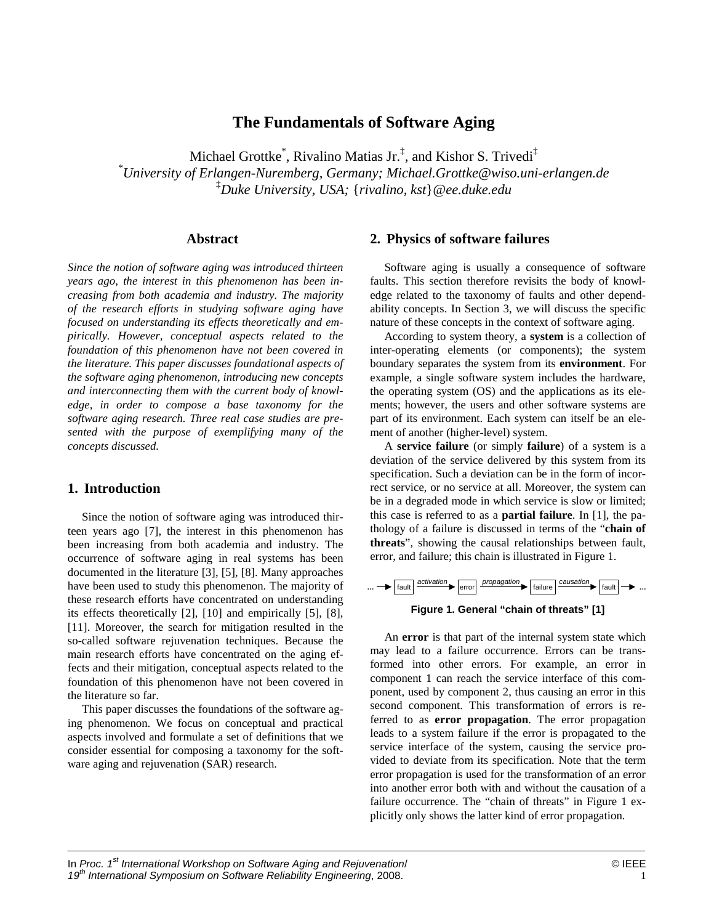# **The Fundamentals of Software Aging**

Michael Grottke\* , Rivalino Matias Jr.‡ , and Kishor S. Trivedi‡ \* *University of Erlangen-Nuremberg, Germany; Michael.Grottke@wiso.uni-erlangen.de*  ‡ *Duke University, USA;* {*rivalino, kst*}*@ee.duke.edu* 

#### **Abstract**

*Since the notion of software aging was introduced thirteen years ago, the interest in this phenomenon has been increasing from both academia and industry. The majority of the research efforts in studying software aging have focused on understanding its effects theoretically and empirically. However, conceptual aspects related to the foundation of this phenomenon have not been covered in the literature. This paper discusses foundational aspects of the software aging phenomenon, introducing new concepts and interconnecting them with the current body of knowledge, in order to compose a base taxonomy for the software aging research. Three real case studies are presented with the purpose of exemplifying many of the concepts discussed.* 

### **1. Introduction**

Since the notion of software aging was introduced thirteen years ago [7], the interest in this phenomenon has been increasing from both academia and industry. The occurrence of software aging in real systems has been documented in the literature [3], [5], [8]. Many approaches have been used to study this phenomenon. The majority of these research efforts have concentrated on understanding its effects theoretically [2], [10] and empirically [5], [8], [11]. Moreover, the search for mitigation resulted in the so-called software rejuvenation techniques. Because the main research efforts have concentrated on the aging effects and their mitigation, conceptual aspects related to the foundation of this phenomenon have not been covered in the literature so far.

This paper discusses the foundations of the software aging phenomenon. We focus on conceptual and practical aspects involved and formulate a set of definitions that we consider essential for composing a taxonomy for the software aging and rejuvenation (SAR) research.

### **2. Physics of software failures**

Software aging is usually a consequence of software faults. This section therefore revisits the body of knowledge related to the taxonomy of faults and other dependability concepts. In Section 3, we will discuss the specific nature of these concepts in the context of software aging.

According to system theory, a **system** is a collection of inter-operating elements (or components); the system boundary separates the system from its **environment**. For example, a single software system includes the hardware, the operating system (OS) and the applications as its elements; however, the users and other software systems are part of its environment. Each system can itself be an element of another (higher-level) system.

A **service failure** (or simply **failure**) of a system is a deviation of the service delivered by this system from its specification. Such a deviation can be in the form of incorrect service, or no service at all. Moreover, the system can be in a degraded mode in which service is slow or limited; this case is referred to as a **partial failure**. In [1], the pathology of a failure is discussed in terms of the "**chain of threats**", showing the causal relationships between fault, error, and failure; this chain is illustrated in Figure 1.



**Figure 1. General "chain of threats" [1]** 

An **error** is that part of the internal system state which may lead to a failure occurrence. Errors can be transformed into other errors. For example, an error in component 1 can reach the service interface of this component, used by component 2, thus causing an error in this second component. This transformation of errors is referred to as **error propagation**. The error propagation leads to a system failure if the error is propagated to the service interface of the system, causing the service provided to deviate from its specification. Note that the term error propagation is used for the transformation of an error into another error both with and without the causation of a failure occurrence. The "chain of threats" in Figure 1 explicitly only shows the latter kind of error propagation.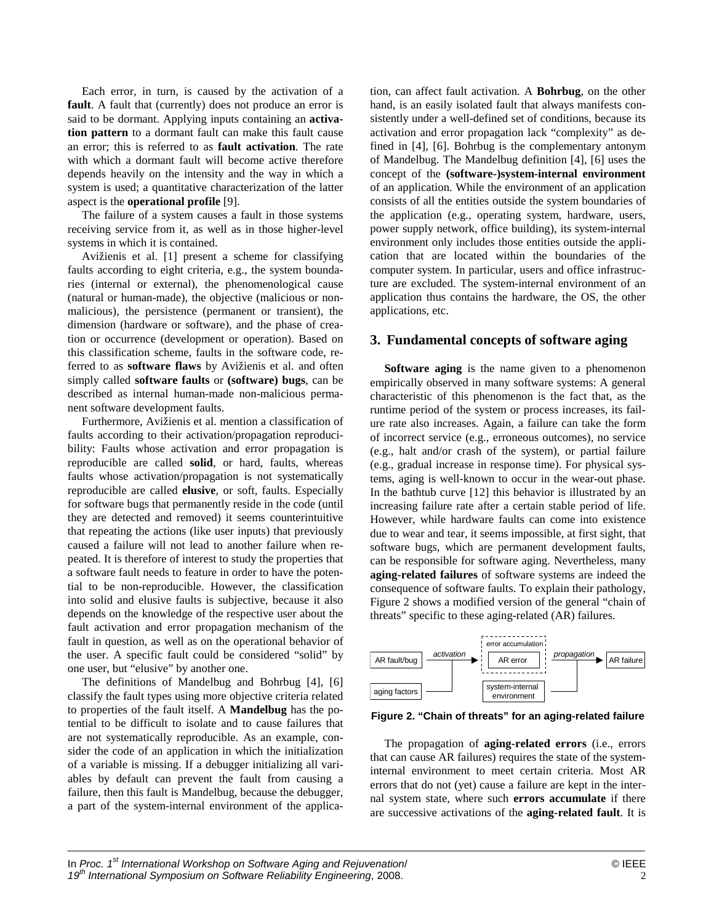Each error, in turn, is caused by the activation of a fault. A fault that (currently) does not produce an error is said to be dormant. Applying inputs containing an **activation pattern** to a dormant fault can make this fault cause an error; this is referred to as **fault activation**. The rate with which a dormant fault will become active therefore depends heavily on the intensity and the way in which a system is used; a quantitative characterization of the latter aspect is the **operational profile** [9].

The failure of a system causes a fault in those systems receiving service from it, as well as in those higher-level systems in which it is contained.

Avižienis et al. [1] present a scheme for classifying faults according to eight criteria, e.g., the system boundaries (internal or external), the phenomenological cause (natural or human-made), the objective (malicious or nonmalicious), the persistence (permanent or transient), the dimension (hardware or software), and the phase of creation or occurrence (development or operation). Based on this classification scheme, faults in the software code, referred to as **software flaws** by Avižienis et al. and often simply called **software faults** or **(software) bugs**, can be described as internal human-made non-malicious permanent software development faults.

Furthermore, Avižienis et al. mention a classification of faults according to their activation/propagation reproducibility: Faults whose activation and error propagation is reproducible are called **solid**, or hard, faults, whereas faults whose activation/propagation is not systematically reproducible are called **elusive**, or soft, faults. Especially for software bugs that permanently reside in the code (until they are detected and removed) it seems counterintuitive that repeating the actions (like user inputs) that previously caused a failure will not lead to another failure when repeated. It is therefore of interest to study the properties that a software fault needs to feature in order to have the potential to be non-reproducible. However, the classification into solid and elusive faults is subjective, because it also depends on the knowledge of the respective user about the fault activation and error propagation mechanism of the fault in question, as well as on the operational behavior of the user. A specific fault could be considered "solid" by one user, but "elusive" by another one.

The definitions of Mandelbug and Bohrbug [4], [6] classify the fault types using more objective criteria related to properties of the fault itself. A **Mandelbug** has the potential to be difficult to isolate and to cause failures that are not systematically reproducible. As an example, consider the code of an application in which the initialization of a variable is missing. If a debugger initializing all variables by default can prevent the fault from causing a failure, then this fault is Mandelbug, because the debugger, a part of the system-internal environment of the applica-

tion, can affect fault activation. A **Bohrbug**, on the other hand, is an easily isolated fault that always manifests consistently under a well-defined set of conditions, because its activation and error propagation lack "complexity" as defined in [4], [6]. Bohrbug is the complementary antonym of Mandelbug. The Mandelbug definition [4], [6] uses the concept of the **(software-)system-internal environment** of an application. While the environment of an application consists of all the entities outside the system boundaries of the application (e.g., operating system, hardware, users, power supply network, office building), its system-internal environment only includes those entities outside the application that are located within the boundaries of the computer system. In particular, users and office infrastructure are excluded. The system-internal environment of an application thus contains the hardware, the OS, the other applications, etc.

#### **3. Fundamental concepts of software aging**

**Software aging** is the name given to a phenomenon empirically observed in many software systems: A general characteristic of this phenomenon is the fact that, as the runtime period of the system or process increases, its failure rate also increases. Again, a failure can take the form of incorrect service (e.g., erroneous outcomes), no service (e.g., halt and/or crash of the system), or partial failure (e.g., gradual increase in response time). For physical systems, aging is well-known to occur in the wear-out phase. In the bathtub curve [12] this behavior is illustrated by an increasing failure rate after a certain stable period of life. However, while hardware faults can come into existence due to wear and tear, it seems impossible, at first sight, that software bugs, which are permanent development faults, can be responsible for software aging. Nevertheless, many **aging-related failures** of software systems are indeed the consequence of software faults. To explain their pathology, Figure 2 shows a modified version of the general "chain of threats" specific to these aging-related (AR) failures.



**Figure 2. "Chain of threats" for an aging-related failure** 

The propagation of **aging-related errors** (i.e., errors that can cause AR failures) requires the state of the systeminternal environment to meet certain criteria. Most AR errors that do not (yet) cause a failure are kept in the internal system state, where such **errors accumulate** if there are successive activations of the **aging-related fault**. It is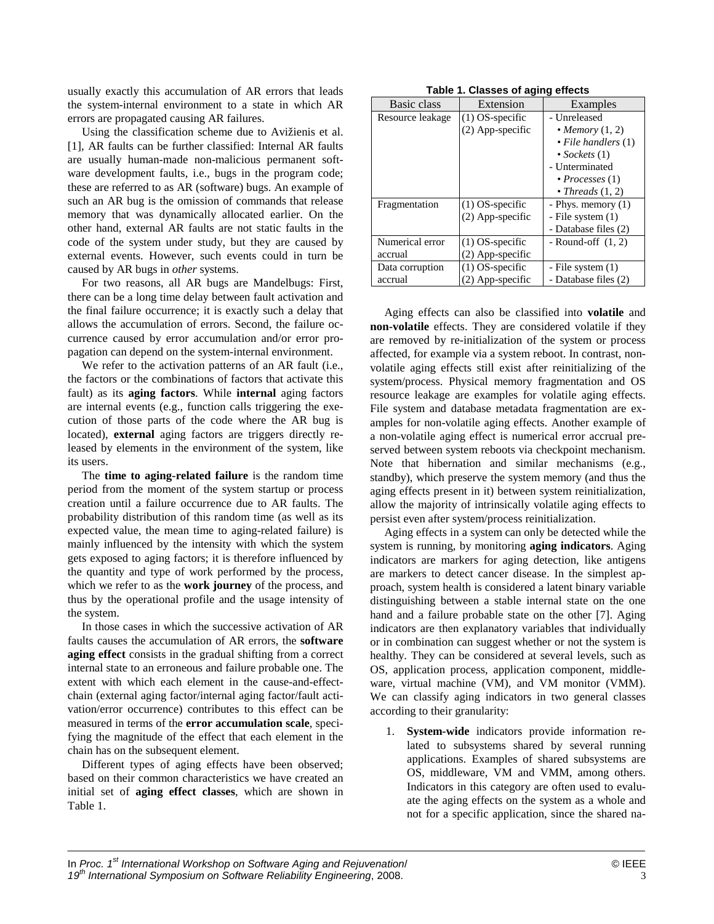usually exactly this accumulation of AR errors that leads the system-internal environment to a state in which AR errors are propagated causing AR failures.

Using the classification scheme due to Avižienis et al. [1], AR faults can be further classified: Internal AR faults are usually human-made non-malicious permanent software development faults, i.e., bugs in the program code; these are referred to as AR (software) bugs. An example of such an AR bug is the omission of commands that release memory that was dynamically allocated earlier. On the other hand, external AR faults are not static faults in the code of the system under study, but they are caused by external events. However, such events could in turn be caused by AR bugs in *other* systems.

For two reasons, all AR bugs are Mandelbugs: First, there can be a long time delay between fault activation and the final failure occurrence; it is exactly such a delay that allows the accumulation of errors. Second, the failure occurrence caused by error accumulation and/or error propagation can depend on the system-internal environment.

We refer to the activation patterns of an AR fault (i.e., the factors or the combinations of factors that activate this fault) as its **aging factors**. While **internal** aging factors are internal events (e.g., function calls triggering the execution of those parts of the code where the AR bug is located), **external** aging factors are triggers directly released by elements in the environment of the system, like its users.

The **time to aging-related failure** is the random time period from the moment of the system startup or process creation until a failure occurrence due to AR faults. The probability distribution of this random time (as well as its expected value, the mean time to aging-related failure) is mainly influenced by the intensity with which the system gets exposed to aging factors; it is therefore influenced by the quantity and type of work performed by the process, which we refer to as the **work journey** of the process, and thus by the operational profile and the usage intensity of the system.

In those cases in which the successive activation of AR faults causes the accumulation of AR errors, the **software aging effect** consists in the gradual shifting from a correct internal state to an erroneous and failure probable one. The extent with which each element in the cause-and-effectchain (external aging factor/internal aging factor/fault activation/error occurrence) contributes to this effect can be measured in terms of the **error accumulation scale**, specifying the magnitude of the effect that each element in the chain has on the subsequent element.

Different types of aging effects have been observed; based on their common characteristics we have created an initial set of **aging effect classes**, which are shown in Table 1.

| Table 1. Classes of aging effects |  |  |
|-----------------------------------|--|--|
|-----------------------------------|--|--|

| Basic class      | Extension          | Examples                    |
|------------------|--------------------|-----------------------------|
| Resource leakage | $(1)$ OS-specific  | - Unreleased                |
|                  | $(2)$ App-specific | • Memory $(1, 2)$           |
|                  |                    | $\bullet$ File handlers (1) |
|                  |                    | $\bullet$ Sockets (1)       |
|                  |                    | - Unterminated              |
|                  |                    | • Processes $(1)$           |
|                  |                    | • Threads $(1, 2)$          |
| Fragmentation    | $(1)$ OS-specific  | - Phys. memory $(1)$        |
|                  | (2) App-specific   | - File system (1)           |
|                  |                    | - Database files (2)        |
| Numerical error  | $(1)$ OS-specific  | - Round-off $(1, 2)$        |
| accrual          | (2) App-specific   |                             |
| Data corruption  | $(1)$ OS-specific  | - File system (1)           |
| accrual          | (2) App-specific   | - Database files (2)        |

Aging effects can also be classified into **volatile** and **non-volatile** effects. They are considered volatile if they are removed by re-initialization of the system or process affected, for example via a system reboot. In contrast, nonvolatile aging effects still exist after reinitializing of the system/process. Physical memory fragmentation and OS resource leakage are examples for volatile aging effects. File system and database metadata fragmentation are examples for non-volatile aging effects. Another example of a non-volatile aging effect is numerical error accrual preserved between system reboots via checkpoint mechanism. Note that hibernation and similar mechanisms (e.g., standby), which preserve the system memory (and thus the aging effects present in it) between system reinitialization, allow the majority of intrinsically volatile aging effects to persist even after system/process reinitialization.

Aging effects in a system can only be detected while the system is running, by monitoring **aging indicators**. Aging indicators are markers for aging detection, like antigens are markers to detect cancer disease. In the simplest approach, system health is considered a latent binary variable distinguishing between a stable internal state on the one hand and a failure probable state on the other [7]. Aging indicators are then explanatory variables that individually or in combination can suggest whether or not the system is healthy. They can be considered at several levels, such as OS, application process, application component, middleware, virtual machine (VM), and VM monitor (VMM). We can classify aging indicators in two general classes according to their granularity:

1. **System-wide** indicators provide information related to subsystems shared by several running applications. Examples of shared subsystems are OS, middleware, VM and VMM, among others. Indicators in this category are often used to evaluate the aging effects on the system as a whole and not for a specific application, since the shared na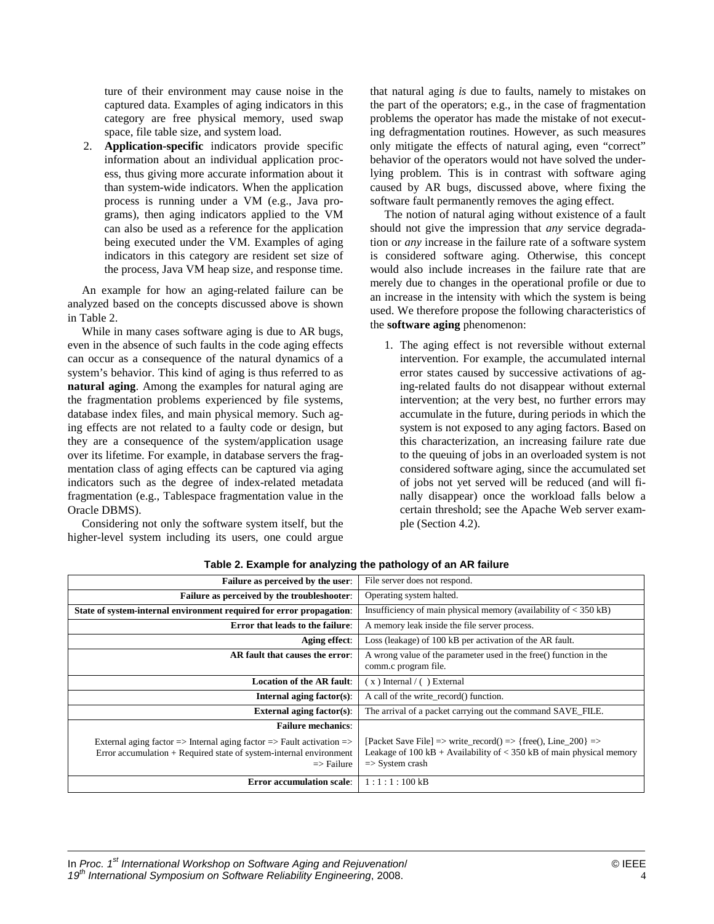ture of their environment may cause noise in the captured data. Examples of aging indicators in this category are free physical memory, used swap space, file table size, and system load.

2. **Application-specific** indicators provide specific information about an individual application process, thus giving more accurate information about it than system-wide indicators. When the application process is running under a VM (e.g., Java programs), then aging indicators applied to the VM can also be used as a reference for the application being executed under the VM. Examples of aging indicators in this category are resident set size of the process, Java VM heap size, and response time.

An example for how an aging-related failure can be analyzed based on the concepts discussed above is shown in Table 2.

While in many cases software aging is due to AR bugs, even in the absence of such faults in the code aging effects can occur as a consequence of the natural dynamics of a system's behavior. This kind of aging is thus referred to as **natural aging**. Among the examples for natural aging are the fragmentation problems experienced by file systems, database index files, and main physical memory. Such aging effects are not related to a faulty code or design, but they are a consequence of the system/application usage over its lifetime. For example, in database servers the fragmentation class of aging effects can be captured via aging indicators such as the degree of index-related metadata fragmentation (e.g., Tablespace fragmentation value in the Oracle DBMS).

Considering not only the software system itself, but the higher-level system including its users, one could argue

that natural aging *is* due to faults, namely to mistakes on the part of the operators; e.g., in the case of fragmentation problems the operator has made the mistake of not executing defragmentation routines. However, as such measures only mitigate the effects of natural aging, even "correct" behavior of the operators would not have solved the underlying problem. This is in contrast with software aging caused by AR bugs, discussed above, where fixing the software fault permanently removes the aging effect.

The notion of natural aging without existence of a fault should not give the impression that *any* service degradation or *any* increase in the failure rate of a software system is considered software aging. Otherwise, this concept would also include increases in the failure rate that are merely due to changes in the operational profile or due to an increase in the intensity with which the system is being used. We therefore propose the following characteristics of the **software aging** phenomenon:

1. The aging effect is not reversible without external intervention. For example, the accumulated internal error states caused by successive activations of aging-related faults do not disappear without external intervention; at the very best, no further errors may accumulate in the future, during periods in which the system is not exposed to any aging factors. Based on this characterization, an increasing failure rate due to the queuing of jobs in an overloaded system is not considered software aging, since the accumulated set of jobs not yet served will be reduced (and will finally disappear) once the workload falls below a certain threshold; see the Apache Web server example (Section 4.2).

| Failure as perceived by the user:                                                                                                                                                                     | File server does not respond.                                                                                                                                                                          |  |
|-------------------------------------------------------------------------------------------------------------------------------------------------------------------------------------------------------|--------------------------------------------------------------------------------------------------------------------------------------------------------------------------------------------------------|--|
| Failure as perceived by the troubleshooter:                                                                                                                                                           | Operating system halted.                                                                                                                                                                               |  |
| State of system-internal environment required for error propagation:                                                                                                                                  | Insufficiency of main physical memory (availability of $<$ 350 kB)                                                                                                                                     |  |
| Error that leads to the failure:                                                                                                                                                                      | A memory leak inside the file server process.                                                                                                                                                          |  |
| Aging effect:                                                                                                                                                                                         | Loss (leakage) of 100 kB per activation of the AR fault.                                                                                                                                               |  |
| AR fault that causes the error:                                                                                                                                                                       | A wrong value of the parameter used in the free() function in the<br>comm.c program file.                                                                                                              |  |
| <b>Location of the AR fault:</b>                                                                                                                                                                      | $(x)$ Internal $\ell$ ) External                                                                                                                                                                       |  |
| Internal aging $factor(s)$ :                                                                                                                                                                          | A call of the write_record() function.                                                                                                                                                                 |  |
| <b>External aging factor(s):</b>                                                                                                                                                                      | The arrival of a packet carrying out the command SAVE_FILE.                                                                                                                                            |  |
| <b>Failure mechanics:</b>                                                                                                                                                                             |                                                                                                                                                                                                        |  |
| External aging factor $\Rightarrow$ Internal aging factor $\Rightarrow$ Fault activation $\Rightarrow$<br>Error accumulation + Required state of system-internal environment<br>$\Rightarrow$ Failure | [Packet Save File] $\Rightarrow$ write_record() $\Rightarrow$ {free(), Line_200} $\Rightarrow$<br>Leakage of 100 kB + Availability of $<$ 350 kB of main physical memory<br>$\Rightarrow$ System crash |  |
| <b>Error accumulation scale:</b>                                                                                                                                                                      | $1:1:1:100$ kB                                                                                                                                                                                         |  |

**Table 2. Example for analyzing the pathology of an AR failure**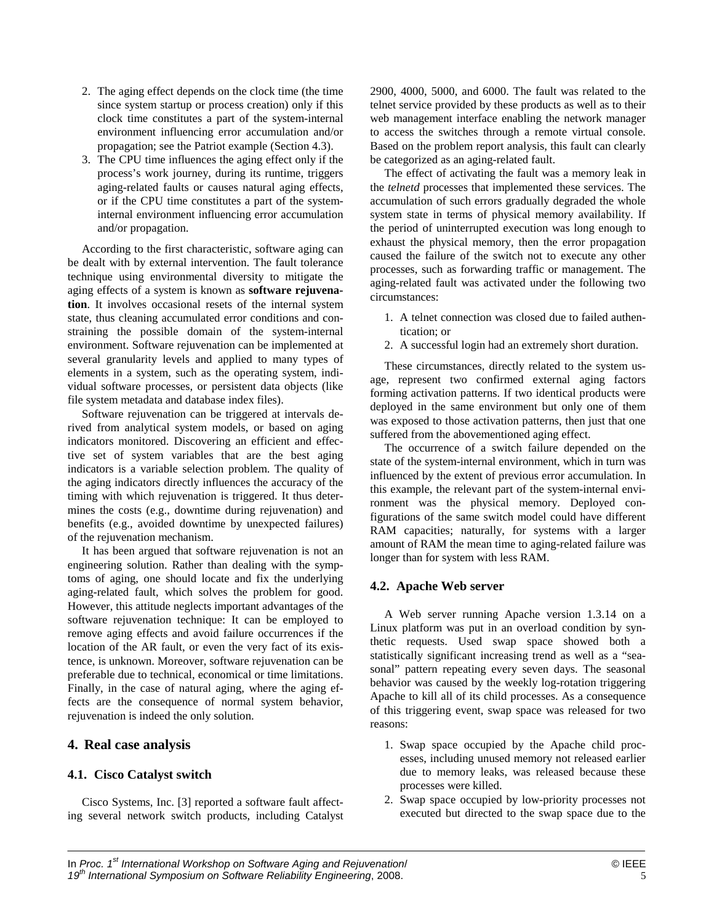- 2. The aging effect depends on the clock time (the time since system startup or process creation) only if this clock time constitutes a part of the system-internal environment influencing error accumulation and/or propagation; see the Patriot example (Section 4.3).
- 3. The CPU time influences the aging effect only if the process's work journey, during its runtime, triggers aging-related faults or causes natural aging effects, or if the CPU time constitutes a part of the systeminternal environment influencing error accumulation and/or propagation.

According to the first characteristic, software aging can be dealt with by external intervention. The fault tolerance technique using environmental diversity to mitigate the aging effects of a system is known as **software rejuvenation**. It involves occasional resets of the internal system state, thus cleaning accumulated error conditions and constraining the possible domain of the system-internal environment. Software rejuvenation can be implemented at several granularity levels and applied to many types of elements in a system, such as the operating system, individual software processes, or persistent data objects (like file system metadata and database index files).

Software rejuvenation can be triggered at intervals derived from analytical system models, or based on aging indicators monitored. Discovering an efficient and effective set of system variables that are the best aging indicators is a variable selection problem. The quality of the aging indicators directly influences the accuracy of the timing with which rejuvenation is triggered. It thus determines the costs (e.g., downtime during rejuvenation) and benefits (e.g., avoided downtime by unexpected failures) of the rejuvenation mechanism.

It has been argued that software rejuvenation is not an engineering solution. Rather than dealing with the symptoms of aging, one should locate and fix the underlying aging-related fault, which solves the problem for good. However, this attitude neglects important advantages of the software rejuvenation technique: It can be employed to remove aging effects and avoid failure occurrences if the location of the AR fault, or even the very fact of its existence, is unknown. Moreover, software rejuvenation can be preferable due to technical, economical or time limitations. Finally, in the case of natural aging, where the aging effects are the consequence of normal system behavior, rejuvenation is indeed the only solution.

### **4. Real case analysis**

## **4.1. Cisco Catalyst switch**

Cisco Systems, Inc. [3] reported a software fault affecting several network switch products, including Catalyst 2900, 4000, 5000, and 6000. The fault was related to the telnet service provided by these products as well as to their web management interface enabling the network manager to access the switches through a remote virtual console. Based on the problem report analysis, this fault can clearly be categorized as an aging-related fault.

The effect of activating the fault was a memory leak in the *telnetd* processes that implemented these services. The accumulation of such errors gradually degraded the whole system state in terms of physical memory availability. If the period of uninterrupted execution was long enough to exhaust the physical memory, then the error propagation caused the failure of the switch not to execute any other processes, such as forwarding traffic or management. The aging-related fault was activated under the following two circumstances:

- 1. A telnet connection was closed due to failed authentication; or
- 2. A successful login had an extremely short duration.

These circumstances, directly related to the system usage, represent two confirmed external aging factors forming activation patterns. If two identical products were deployed in the same environment but only one of them was exposed to those activation patterns, then just that one suffered from the abovementioned aging effect.

The occurrence of a switch failure depended on the state of the system-internal environment, which in turn was influenced by the extent of previous error accumulation. In this example, the relevant part of the system-internal environment was the physical memory. Deployed configurations of the same switch model could have different RAM capacities; naturally, for systems with a larger amount of RAM the mean time to aging-related failure was longer than for system with less RAM.

### **4.2. Apache Web server**

A Web server running Apache version 1.3.14 on a Linux platform was put in an overload condition by synthetic requests. Used swap space showed both a statistically significant increasing trend as well as a "seasonal" pattern repeating every seven days. The seasonal behavior was caused by the weekly log-rotation triggering Apache to kill all of its child processes. As a consequence of this triggering event, swap space was released for two reasons:

- 1. Swap space occupied by the Apache child processes, including unused memory not released earlier due to memory leaks, was released because these processes were killed.
- 2. Swap space occupied by low-priority processes not executed but directed to the swap space due to the